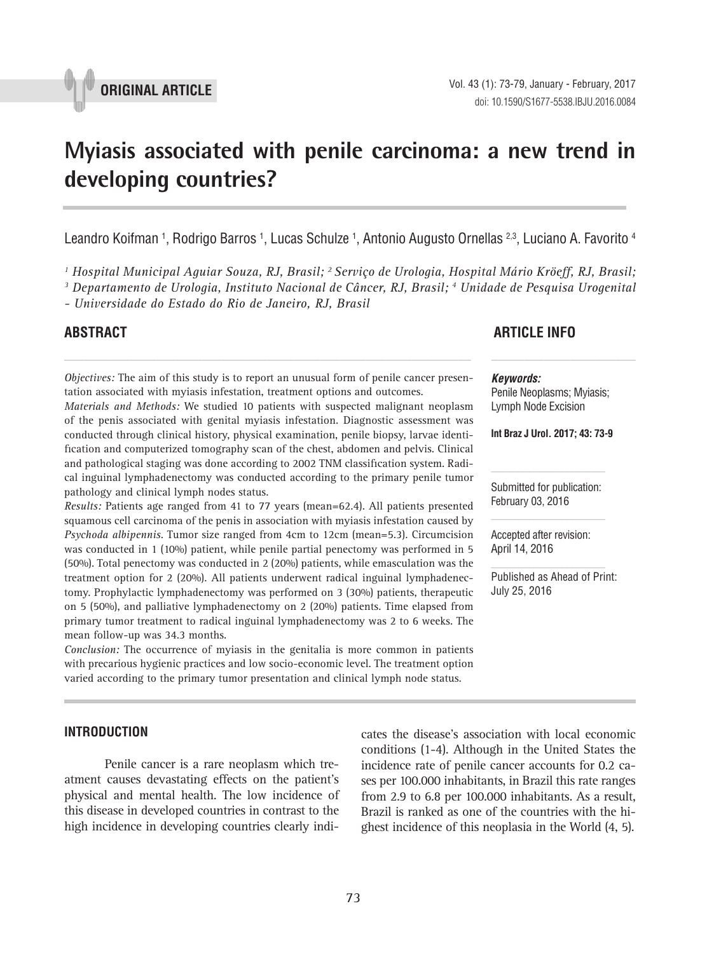

# **Myiasis associated with penile carcinoma: a new trend in developing countries? \_\_\_\_\_\_\_\_\_\_\_\_\_\_\_\_\_\_\_\_\_\_\_\_\_\_\_\_\_\_\_\_\_\_\_\_\_\_\_\_\_\_\_\_\_\_\_**

Leandro Koifman 1, Rodrigo Barros 1, Lucas Schulze 1, Antonio Augusto Ornellas <sup>2,3</sup>, Luciano A. Favorito <sup>4</sup>

<sup>1</sup> Hospital Municipal Aguiar Souza, RJ, Brasil; <sup>2</sup> Serviço de Urologia, Hospital Mário Kröeff, RJ, Brasil;<br><sup>3</sup> Denartamento de Urologia, Instituto Nacional de Câncer, RJ, Brasil: <sup>4</sup> Unidade de Pesauisa Urogenital.  *Departamento de Urologia, Instituto Nacional de Câncer, RJ, Brasil; 4 Unidade de Pesquisa Urogenital* 

*\_\_\_\_\_\_\_\_\_\_\_\_\_\_\_\_\_\_\_\_\_\_\_\_\_\_\_\_\_\_\_\_\_\_\_\_\_\_\_\_\_\_\_\_\_\_\_\_\_\_\_\_\_\_\_\_\_\_\_\_\_\_ \_\_\_\_\_\_\_\_\_\_\_\_\_\_\_\_\_\_\_\_\_\_*

*- Universidade do Estado do Rio de Janeiro, RJ, Brasil*

*Objectives:* The aim of this study is to report an unusual form of penile cancer presentation associated with myiasis infestation, treatment options and outcomes.

*Materials and Methods:* We studied 10 patients with suspected malignant neoplasm of the penis associated with genital myiasis infestation. Diagnostic assessment was conducted through clinical history, physical examination, penile biopsy, larvae identification and computerized tomography scan of the chest, abdomen and pelvis. Clinical and pathological staging was done according to 2002 TNM classification system. Radical inguinal lymphadenectomy was conducted according to the primary penile tumor pathology and clinical lymph nodes status.

*Results:* Patients age ranged from 41 to 77 years (mean=62.4). All patients presented squamous cell carcinoma of the penis in association with myiasis infestation caused by *Psychoda albipennis*. Tumor size ranged from 4cm to 12cm (mean=5.3). Circumcision was conducted in 1 (10%) patient, while penile partial penectomy was performed in 5 (50%). Total penectomy was conducted in 2 (20%) patients, while emasculation was the treatment option for 2 (20%). All patients underwent radical inguinal lymphadenectomy. Prophylactic lymphadenectomy was performed on 3 (30%) patients, therapeutic on 5 (50%), and palliative lymphadenectomy on 2 (20%) patients. Time elapsed from primary tumor treatment to radical inguinal lymphadenectomy was 2 to 6 weeks. The mean follow-up was 34.3 months.

*Conclusion:* The occurrence of myiasis in the genitalia is more common in patients with precarious hygienic practices and low socio-economic level. The treatment option varied according to the primary tumor presentation and clinical lymph node status.

# ABSTRACT ARTICLE INFO

#### *Keywords:*

Penile Neoplasms; Myiasis; Lymph Node Excision

**Int Braz J Urol. 2017; 43: 73-9**

Submitted for publication: February 03, 2016

Accepted after revision: April 14, 2016

Published as Ahead of Print: July 25, 2016

# **INTRODUCTION**

Penile cancer is a rare neoplasm which treatment causes devastating effects on the patient's physical and mental health. The low incidence of this disease in developed countries in contrast to the high incidence in developing countries clearly indicates the disease's association with local economic conditions (1-4). Although in the United States the incidence rate of penile cancer accounts for 0.2 cases per 100.000 inhabitants, in Brazil this rate ranges from 2.9 to 6.8 per 100.000 inhabitants. As a result, Brazil is ranked as one of the countries with the highest incidence of this neoplasia in the World (4, 5).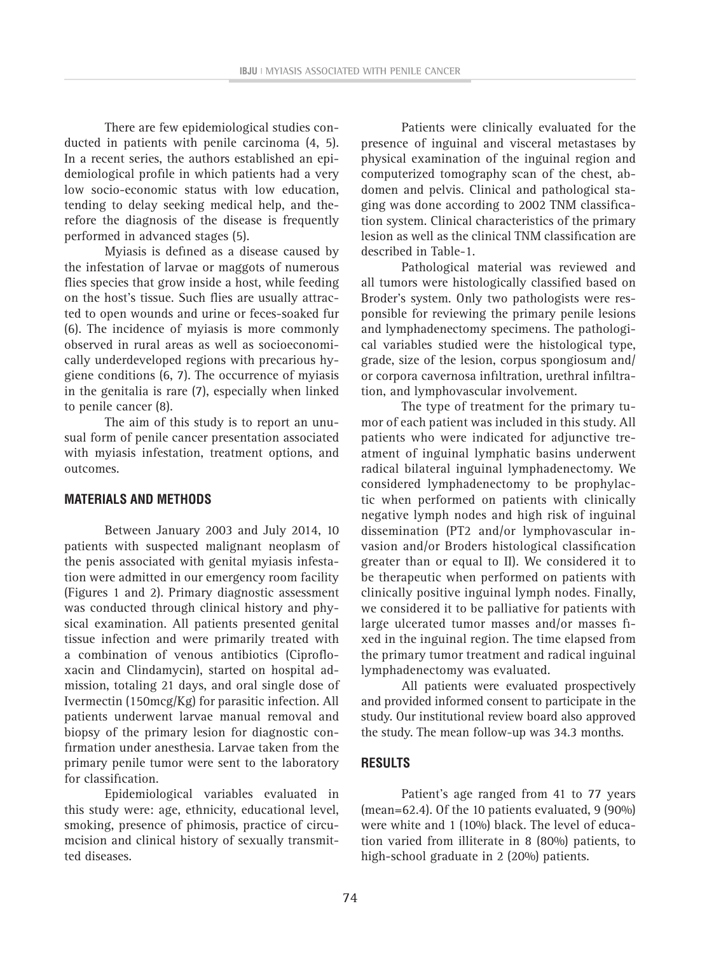There are few epidemiological studies conducted in patients with penile carcinoma (4, 5). In a recent series, the authors established an epidemiological profile in which patients had a very low socio-economic status with low education, tending to delay seeking medical help, and therefore the diagnosis of the disease is frequently performed in advanced stages (5).

Myiasis is defined as a disease caused by the infestation of larvae or maggots of numerous flies species that grow inside a host, while feeding on the host's tissue. Such flies are usually attracted to open wounds and urine or feces-soaked fur (6). The incidence of myiasis is more commonly observed in rural areas as well as socioeconomically underdeveloped regions with precarious hygiene conditions (6, 7). The occurrence of myiasis in the genitalia is rare (7), especially when linked to penile cancer (8).

The aim of this study is to report an unusual form of penile cancer presentation associated with myiasis infestation, treatment options, and outcomes.

# **MATERIALS AND METHODS**

Between January 2003 and July 2014, 10 patients with suspected malignant neoplasm of the penis associated with genital myiasis infestation were admitted in our emergency room facility (Figures 1 and 2). Primary diagnostic assessment was conducted through clinical history and physical examination. All patients presented genital tissue infection and were primarily treated with a combination of venous antibiotics (Ciprofloxacin and Clindamycin), started on hospital admission, totaling 21 days, and oral single dose of Ivermectin (150mcg/Kg) for parasitic infection. All patients underwent larvae manual removal and biopsy of the primary lesion for diagnostic confirmation under anesthesia. Larvae taken from the primary penile tumor were sent to the laboratory for classification.

Epidemiological variables evaluated in this study were: age, ethnicity, educational level, smoking, presence of phimosis, practice of circumcision and clinical history of sexually transmitted diseases.

Patients were clinically evaluated for the presence of inguinal and visceral metastases by physical examination of the inguinal region and computerized tomography scan of the chest, abdomen and pelvis. Clinical and pathological staging was done according to 2002 TNM classification system. Clinical characteristics of the primary lesion as well as the clinical TNM classification are described in Table-1.

Pathological material was reviewed and all tumors were histologically classified based on Broder's system. Only two pathologists were responsible for reviewing the primary penile lesions and lymphadenectomy specimens. The pathological variables studied were the histological type, grade, size of the lesion, corpus spongiosum and/ or corpora cavernosa infiltration, urethral infiltration, and lymphovascular involvement.

The type of treatment for the primary tumor of each patient was included in this study. All patients who were indicated for adjunctive treatment of inguinal lymphatic basins underwent radical bilateral inguinal lymphadenectomy. We considered lymphadenectomy to be prophylactic when performed on patients with clinically negative lymph nodes and high risk of inguinal dissemination (PT2 and/or lymphovascular invasion and/or Broders histological classification greater than or equal to II). We considered it to be therapeutic when performed on patients with clinically positive inguinal lymph nodes. Finally, we considered it to be palliative for patients with large ulcerated tumor masses and/or masses fixed in the inguinal region. The time elapsed from the primary tumor treatment and radical inguinal lymphadenectomy was evaluated.

All patients were evaluated prospectively and provided informed consent to participate in the study. Our institutional review board also approved the study. The mean follow-up was 34.3 months.

# **RESULTS**

Patient's age ranged from 41 to 77 years  $(mean=62.4)$ . Of the 10 patients evaluated, 9 (90%) were white and 1 (10%) black. The level of education varied from illiterate in 8 (80%) patients, to high-school graduate in 2 (20%) patients.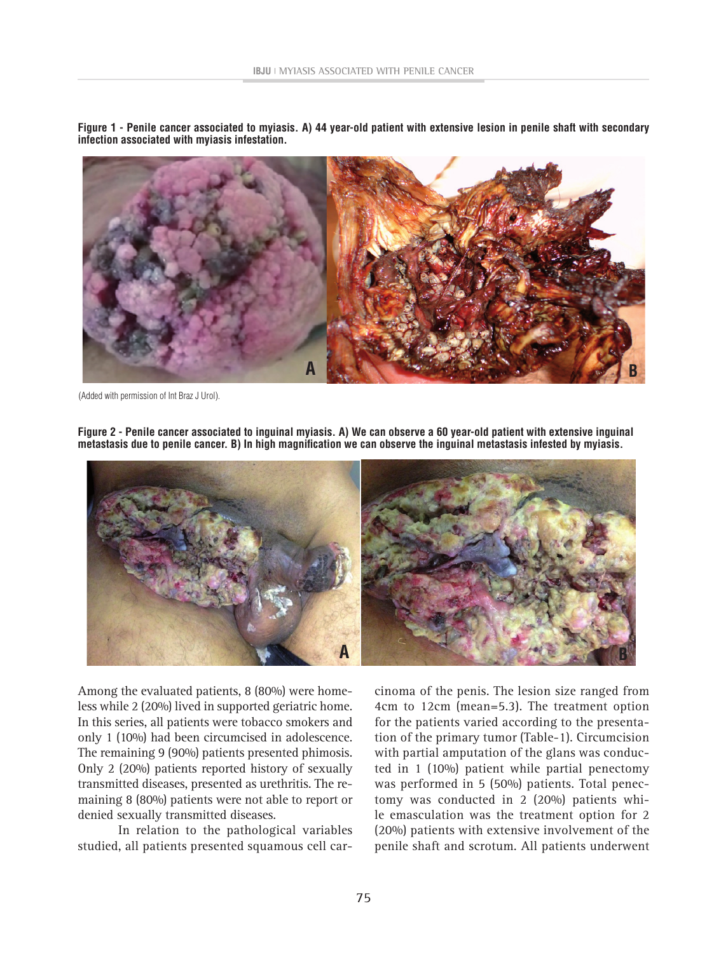

**Figure 1 - Penile cancer associated to myiasis. A) 44 year-old patient with extensive lesion in penile shaft with secondary infection associated with myiasis infestation.**

(Added with permission of Int Braz J Urol).

**Figure 2 - Penile cancer associated to inguinal myiasis. A) We can observe a 60 year-old patient with extensive inguinal metastasis due to penile cancer. B) In high magnification we can observe the inguinal metastasis infested by myiasis.**



Among the evaluated patients, 8 (80%) were homeless while 2 (20%) lived in supported geriatric home. In this series, all patients were tobacco smokers and only 1 (10%) had been circumcised in adolescence. The remaining 9 (90%) patients presented phimosis. Only 2 (20%) patients reported history of sexually transmitted diseases, presented as urethritis. The remaining 8 (80%) patients were not able to report or denied sexually transmitted diseases.

In relation to the pathological variables studied, all patients presented squamous cell carcinoma of the penis. The lesion size ranged from 4cm to 12cm (mean=5.3). The treatment option for the patients varied according to the presentation of the primary tumor (Table-1). Circumcision with partial amputation of the glans was conducted in 1 (10%) patient while partial penectomy was performed in 5 (50%) patients. Total penectomy was conducted in 2 (20%) patients while emasculation was the treatment option for 2 (20%) patients with extensive involvement of the penile shaft and scrotum. All patients underwent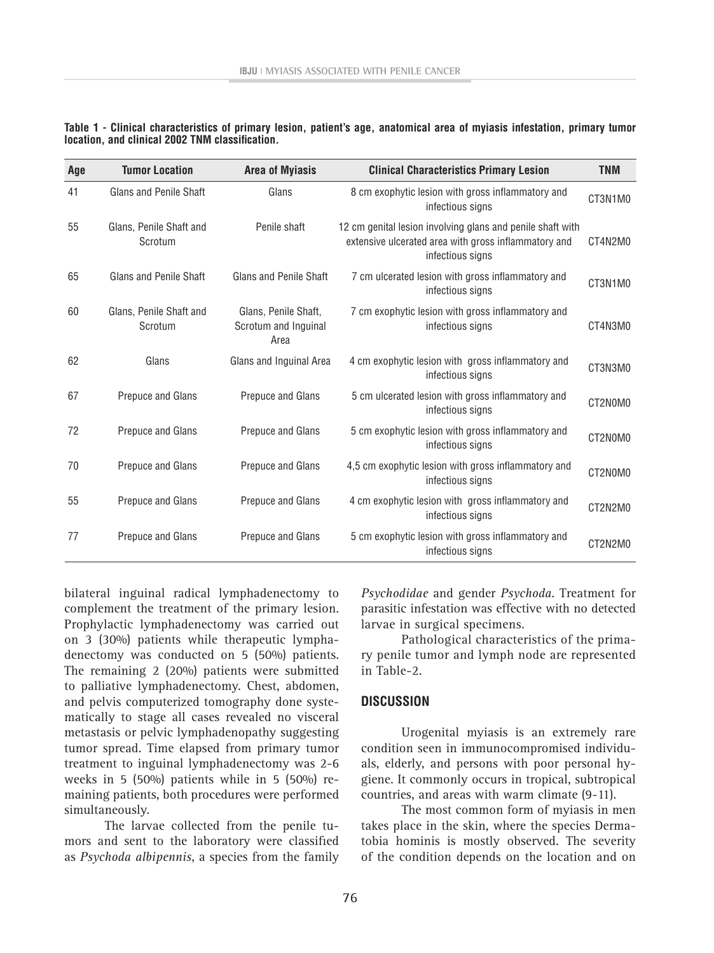| Age | <b>Tumor Location</b>              | <b>Area of Myiasis</b>                               | <b>Clinical Characteristics Primary Lesion</b>                                                                                         | <b>TNM</b> |
|-----|------------------------------------|------------------------------------------------------|----------------------------------------------------------------------------------------------------------------------------------------|------------|
| 41  | Glans and Penile Shaft             | Glans                                                | 8 cm exophytic lesion with gross inflammatory and<br>infectious signs                                                                  | CT3N1M0    |
| 55  | Glans, Penile Shaft and<br>Scrotum | Penile shaft                                         | 12 cm genital lesion involving glans and penile shaft with<br>extensive ulcerated area with gross inflammatory and<br>infectious signs | CT4N2M0    |
| 65  | Glans and Penile Shaft             | Glans and Penile Shaft                               | 7 cm ulcerated lesion with gross inflammatory and<br>infectious signs                                                                  | CT3N1M0    |
| 60  | Glans, Penile Shaft and<br>Scrotum | Glans, Penile Shaft,<br>Scrotum and Inguinal<br>Area | 7 cm exophytic lesion with gross inflammatory and<br>infectious signs                                                                  | CT4N3M0    |
| 62  | Glans                              | Glans and Inguinal Area                              | 4 cm exophytic lesion with gross inflammatory and<br>infectious signs                                                                  | CT3N3M0    |
| 67  | Prepuce and Glans                  | <b>Prepuce and Glans</b>                             | 5 cm ulcerated lesion with gross inflammatory and<br>infectious signs                                                                  | CT2N0M0    |
| 72  | <b>Prepuce and Glans</b>           | <b>Prepuce and Glans</b>                             | 5 cm exophytic lesion with gross inflammatory and<br>infectious signs                                                                  | CT2N0M0    |
| 70  | Prepuce and Glans                  | <b>Prepuce and Glans</b>                             | 4,5 cm exophytic lesion with gross inflammatory and<br>infectious signs                                                                | CT2N0M0    |
| 55  | <b>Prepuce and Glans</b>           | <b>Prepuce and Glans</b>                             | 4 cm exophytic lesion with gross inflammatory and<br>infectious signs                                                                  | CT2N2M0    |
| 77  | Prepuce and Glans                  | <b>Prepuce and Glans</b>                             | 5 cm exophytic lesion with gross inflammatory and<br>infectious signs                                                                  | CT2N2M0    |

**Table 1 - Clinical characteristics of primary lesion, patient's age, anatomical area of myiasis infestation, primary tumor location, and clinical 2002 TNM classification.**

bilateral inguinal radical lymphadenectomy to complement the treatment of the primary lesion. Prophylactic lymphadenectomy was carried out on 3 (30%) patients while therapeutic lymphadenectomy was conducted on 5 (50%) patients. The remaining 2 (20%) patients were submitted to palliative lymphadenectomy. Chest, abdomen, and pelvis computerized tomography done systematically to stage all cases revealed no visceral metastasis or pelvic lymphadenopathy suggesting tumor spread. Time elapsed from primary tumor treatment to inguinal lymphadenectomy was 2-6 weeks in 5 (50%) patients while in 5 (50%) remaining patients, both procedures were performed simultaneously.

The larvae collected from the penile tumors and sent to the laboratory were classified as *Psychoda albipennis*, a species from the family

*Psychodidae* and gender *Psychoda*. Treatment for parasitic infestation was effective with no detected larvae in surgical specimens.

Pathological characteristics of the primary penile tumor and lymph node are represented in Table-2.

# **DISCUSSION**

Urogenital myiasis is an extremely rare condition seen in immunocompromised individuals, elderly, and persons with poor personal hygiene. It commonly occurs in tropical, subtropical countries, and areas with warm climate (9-11).

The most common form of myiasis in men takes place in the skin, where the species Dermatobia hominis is mostly observed. The severity of the condition depends on the location and on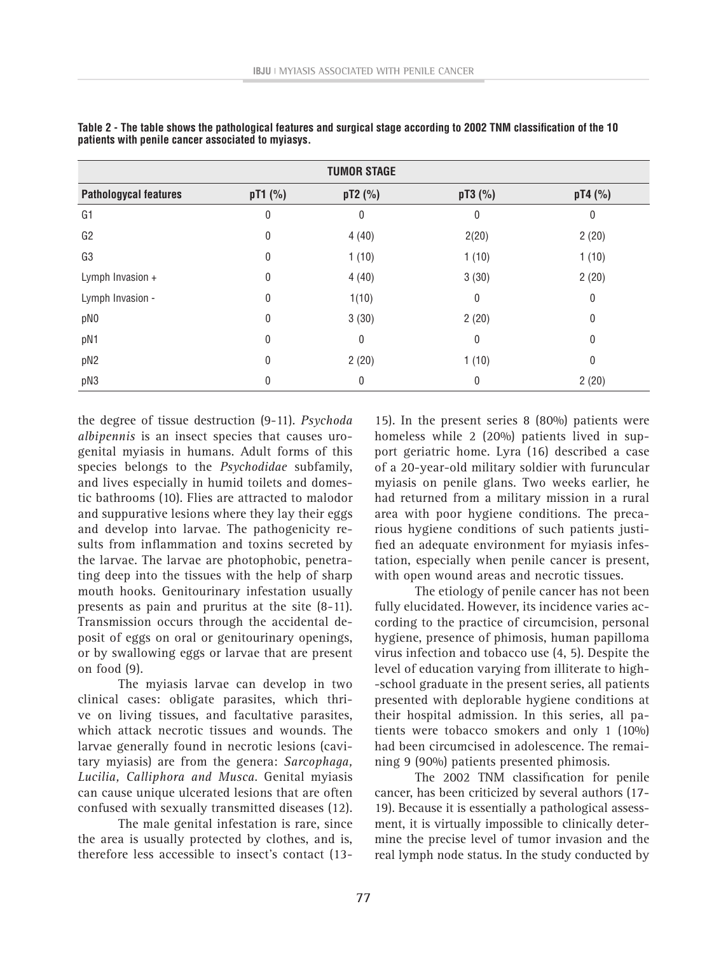| <b>TUMOR STAGE</b>           |              |           |           |           |  |  |  |
|------------------------------|--------------|-----------|-----------|-----------|--|--|--|
| <b>Pathologycal features</b> | $pT1$ (%)    | $pT2$ (%) | $pT3$ (%) | $pT4$ (%) |  |  |  |
| G <sub>1</sub>               | 0            | 0         | 0         | 0         |  |  |  |
| G <sub>2</sub>               | 0            | 4(40)     | 2(20)     | 2(20)     |  |  |  |
| G <sub>3</sub>               | 0            | 1(10)     | 1(10)     | 1(10)     |  |  |  |
| Lymph Invasion +             | 0            | 4(40)     | 3(30)     | 2(20)     |  |  |  |
| Lymph Invasion -             | $\mathbf{0}$ | 1(10)     | 0         | $\theta$  |  |  |  |
| pN0                          | $\mathbf 0$  | 3(30)     | 2(20)     | 0         |  |  |  |
| pN1                          | $\mathbf{0}$ | 0         | 0         | 0         |  |  |  |
| pN <sub>2</sub>              | $\theta$     | 2(20)     | 1(10)     | 0         |  |  |  |
| pN3                          | 0            | 0         | 0         | 2(20)     |  |  |  |

**Table 2 - The table shows the pathological features and surgical stage according to 2002 TNM classification of the 10 patients with penile cancer associated to myiasys.**

the degree of tissue destruction (9-11). *Psychoda albipennis* is an insect species that causes urogenital myiasis in humans. Adult forms of this species belongs to the *Psychodidae* subfamily, and lives especially in humid toilets and domestic bathrooms (10). Flies are attracted to malodor and suppurative lesions where they lay their eggs and develop into larvae. The pathogenicity results from inflammation and toxins secreted by the larvae. The larvae are photophobic, penetrating deep into the tissues with the help of sharp mouth hooks. Genitourinary infestation usually presents as pain and pruritus at the site (8-11). Transmission occurs through the accidental deposit of eggs on oral or genitourinary openings, or by swallowing eggs or larvae that are present on food (9).

The myiasis larvae can develop in two clinical cases: obligate parasites, which thrive on living tissues, and facultative parasites, which attack necrotic tissues and wounds. The larvae generally found in necrotic lesions (cavitary myiasis) are from the genera: *Sarcophaga, Lucilia, Calliphora and Musca*. Genital myiasis can cause unique ulcerated lesions that are often confused with sexually transmitted diseases (12).

The male genital infestation is rare, since the area is usually protected by clothes, and is, therefore less accessible to insect's contact (13-

15). In the present series 8 (80%) patients were homeless while 2 (20%) patients lived in support geriatric home. Lyra (16) described a case of a 20-year-old military soldier with furuncular myiasis on penile glans. Two weeks earlier, he had returned from a military mission in a rural area with poor hygiene conditions. The precarious hygiene conditions of such patients justified an adequate environment for myiasis infestation, especially when penile cancer is present, with open wound areas and necrotic tissues.

The etiology of penile cancer has not been fully elucidated. However, its incidence varies according to the practice of circumcision, personal hygiene, presence of phimosis, human papilloma virus infection and tobacco use (4, 5). Despite the level of education varying from illiterate to high- -school graduate in the present series, all patients presented with deplorable hygiene conditions at their hospital admission. In this series, all patients were tobacco smokers and only 1 (10%) had been circumcised in adolescence. The remaining 9 (90%) patients presented phimosis.

The 2002 TNM classification for penile cancer, has been criticized by several authors (17- 19). Because it is essentially a pathological assessment, it is virtually impossible to clinically determine the precise level of tumor invasion and the real lymph node status. In the study conducted by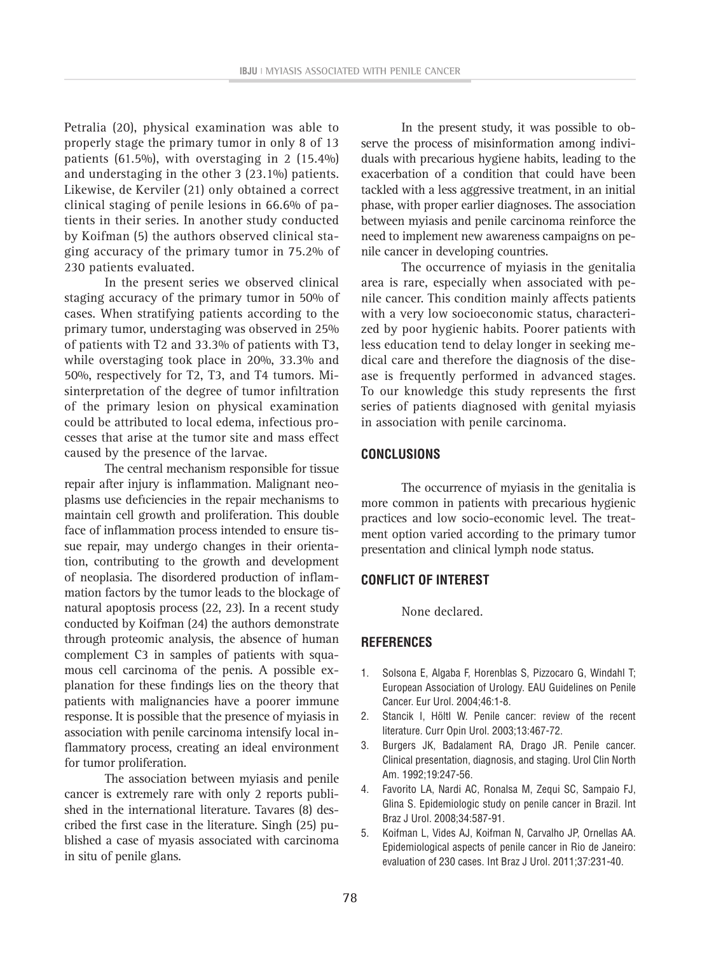Petralia (20), physical examination was able to properly stage the primary tumor in only 8 of 13 patients (61.5%), with overstaging in 2 (15.4%) and understaging in the other 3 (23.1%) patients. Likewise, de Kerviler (21) only obtained a correct clinical staging of penile lesions in 66.6% of patients in their series. In another study conducted by Koifman (5) the authors observed clinical staging accuracy of the primary tumor in 75.2% of 230 patients evaluated.

In the present series we observed clinical staging accuracy of the primary tumor in 50% of cases. When stratifying patients according to the primary tumor, understaging was observed in 25% of patients with T2 and 33.3% of patients with T3, while overstaging took place in 20%, 33.3% and 50%, respectively for T2, T3, and T4 tumors. Misinterpretation of the degree of tumor infiltration of the primary lesion on physical examination could be attributed to local edema, infectious processes that arise at the tumor site and mass effect caused by the presence of the larvae.

The central mechanism responsible for tissue repair after injury is inflammation. Malignant neoplasms use deficiencies in the repair mechanisms to maintain cell growth and proliferation. This double face of inflammation process intended to ensure tissue repair, may undergo changes in their orientation, contributing to the growth and development of neoplasia. The disordered production of inflammation factors by the tumor leads to the blockage of natural apoptosis process (22, 23). In a recent study conducted by Koifman (24) the authors demonstrate through proteomic analysis, the absence of human complement C3 in samples of patients with squamous cell carcinoma of the penis. A possible explanation for these findings lies on the theory that patients with malignancies have a poorer immune response. It is possible that the presence of myiasis in association with penile carcinoma intensify local inflammatory process, creating an ideal environment for tumor proliferation.

The association between myiasis and penile cancer is extremely rare with only 2 reports published in the international literature. Tavares (8) described the first case in the literature. Singh (25) published a case of myasis associated with carcinoma in situ of penile glans.

In the present study, it was possible to observe the process of misinformation among individuals with precarious hygiene habits, leading to the exacerbation of a condition that could have been tackled with a less aggressive treatment, in an initial phase, with proper earlier diagnoses. The association between myiasis and penile carcinoma reinforce the need to implement new awareness campaigns on penile cancer in developing countries.

The occurrence of myiasis in the genitalia area is rare, especially when associated with penile cancer. This condition mainly affects patients with a very low socioeconomic status, characterized by poor hygienic habits. Poorer patients with less education tend to delay longer in seeking medical care and therefore the diagnosis of the disease is frequently performed in advanced stages. To our knowledge this study represents the first series of patients diagnosed with genital myiasis in association with penile carcinoma.

# **CONCLUSIONS**

The occurrence of myiasis in the genitalia is more common in patients with precarious hygienic practices and low socio-economic level. The treatment option varied according to the primary tumor presentation and clinical lymph node status.

# **CONFLICT OF INTEREST**

None declared.

# **REFERENCES**

- 1. Solsona E, Algaba F, Horenblas S, Pizzocaro G, Windahl T; European Association of Urology. EAU Guidelines on Penile Cancer. Eur Urol. 2004;46:1-8.
- 2. Stancik I, Höltl W. Penile cancer: review of the recent literature. Curr Opin Urol. 2003;13:467-72.
- 3. Burgers JK, Badalament RA, Drago JR. Penile cancer. Clinical presentation, diagnosis, and staging. Urol Clin North Am. 1992;19:247-56.
- 4. Favorito LA, Nardi AC, Ronalsa M, Zequi SC, Sampaio FJ, Glina S. Epidemiologic study on penile cancer in Brazil. Int Braz J Urol. 2008;34:587-91.
- 5. Koifman L, Vides AJ, Koifman N, Carvalho JP, Ornellas AA. Epidemiological aspects of penile cancer in Rio de Janeiro: evaluation of 230 cases. Int Braz J Urol. 2011;37:231-40.